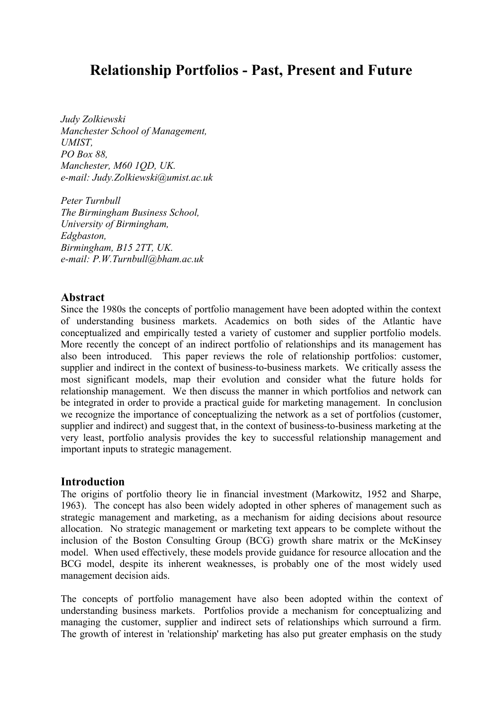# **Relationship Portfolios - Past, Present and Future**

*Judy Zolkiewski Manchester School of Management, UMIST, PO Box 88, Manchester, M60 1QD, UK. e-mail: Judy.Zolkiewski@umist.ac.uk*

*Peter Turnbull The Birmingham Business School, University of Birmingham, Edgbaston, Birmingham, B15 2TT, UK. e-mail: P.W.Turnbull@bham.ac.uk*

#### **Abstract**

Since the 1980s the concepts of portfolio management have been adopted within the context of understanding business markets. Academics on both sides of the Atlantic have conceptualized and empirically tested a variety of customer and supplier portfolio models. More recently the concept of an indirect portfolio of relationships and its management has also been introduced. This paper reviews the role of relationship portfolios: customer, supplier and indirect in the context of business-to-business markets. We critically assess the most significant models, map their evolution and consider what the future holds for relationship management. We then discuss the manner in which portfolios and network can be integrated in order to provide a practical guide for marketing management. In conclusion we recognize the importance of conceptualizing the network as a set of portfolios (customer, supplier and indirect) and suggest that, in the context of business-to-business marketing at the very least, portfolio analysis provides the key to successful relationship management and important inputs to strategic management.

# **Introduction**

The origins of portfolio theory lie in financial investment (Markowitz, 1952 and Sharpe, 1963). The concept has also been widely adopted in other spheres of management such as strategic management and marketing, as a mechanism for aiding decisions about resource allocation. No strategic management or marketing text appears to be complete without the inclusion of the Boston Consulting Group (BCG) growth share matrix or the McKinsey model. When used effectively, these models provide guidance for resource allocation and the BCG model, despite its inherent weaknesses, is probably one of the most widely used management decision aids.

The concepts of portfolio management have also been adopted within the context of understanding business markets. Portfolios provide a mechanism for conceptualizing and managing the customer, supplier and indirect sets of relationships which surround a firm. The growth of interest in 'relationship' marketing has also put greater emphasis on the study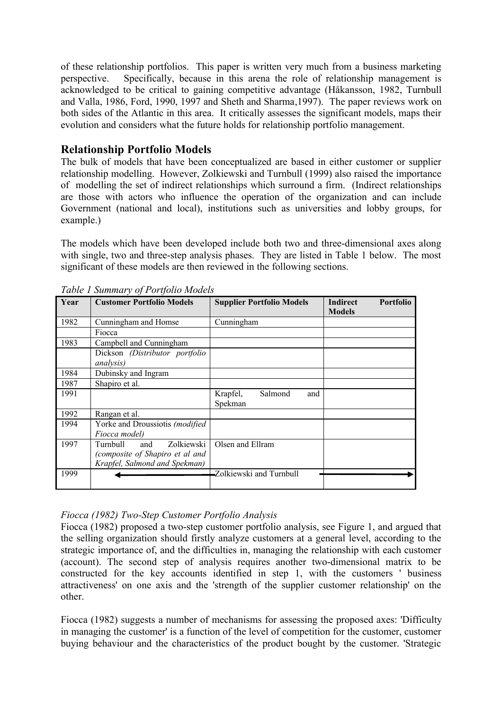of these relationship portfolios. This paper is written very much from a business marketing perspective. Specifically, because in this arena the role of relationship management is acknowledged to be critical to gaining competitive advantage (Håkansson, 1982, Turnbull and Valla, 1986, Ford, 1990, 1997 and Sheth and Sharma,1997). The paper reviews work on both sides of the Atlantic in this area. It critically assesses the significant models, maps their evolution and considers what the future holds for relationship portfolio management.

# **Relationship Portfolio Models**

The bulk of models that have been conceptualized are based in either customer or supplier relationship modelling. However, Zolkiewski and Turnbull (1999) also raised the importance of modelling the set of indirect relationships which surround a firm. (Indirect relationships are those with actors who influence the operation of the organization and can include Government (national and local), institutions such as universities and lobby groups, for example.)

The models which have been developed include both two and three-dimensional axes along with single, two and three-step analysis phases. They are listed in Table 1 below. The most significant of these models are then reviewed in the following sections.

|      | Tubic 1 Sammary 6/1 brijono models |                                  |                                                      |  |  |  |  |  |  |
|------|------------------------------------|----------------------------------|------------------------------------------------------|--|--|--|--|--|--|
| Year | <b>Customer Portfolio Models</b>   | <b>Supplier Portfolio Models</b> | <b>Portfolio</b><br><b>Indirect</b><br><b>Models</b> |  |  |  |  |  |  |
| 1982 | Cunningham and Homse               | Cunningham                       |                                                      |  |  |  |  |  |  |
|      | Fiocca                             |                                  |                                                      |  |  |  |  |  |  |
| 1983 | Campbell and Cunningham            |                                  |                                                      |  |  |  |  |  |  |
|      | Dickson (Distributor portfolio     |                                  |                                                      |  |  |  |  |  |  |
|      | <i>analysis</i> )                  |                                  |                                                      |  |  |  |  |  |  |
| 1984 | Dubinsky and Ingram                |                                  |                                                      |  |  |  |  |  |  |
| 1987 | Shapiro et al.                     |                                  |                                                      |  |  |  |  |  |  |
| 1991 |                                    | Krapfel,<br>Salmond<br>and       |                                                      |  |  |  |  |  |  |
|      |                                    | Spekman                          |                                                      |  |  |  |  |  |  |
| 1992 | Rangan et al.                      |                                  |                                                      |  |  |  |  |  |  |
| 1994 | Yorke and Droussiotis (modified    |                                  |                                                      |  |  |  |  |  |  |
|      | Fiocca model)                      |                                  |                                                      |  |  |  |  |  |  |
| 1997 | Zolkiewski<br>Turnbull<br>and      | Olsen and Ellram                 |                                                      |  |  |  |  |  |  |
|      | (composite of Shapiro et al and    |                                  |                                                      |  |  |  |  |  |  |
|      | Krapfel, Salmond and Spekman)      |                                  |                                                      |  |  |  |  |  |  |
| 1999 |                                    | Zolkiewski and Turnbull          |                                                      |  |  |  |  |  |  |
|      |                                    |                                  |                                                      |  |  |  |  |  |  |

*Table 1 Summary of Portfolio Models*

# *Fiocca (1982) Two-Step Customer Portfolio Analysis*

Fiocca (1982) proposed a two-step customer portfolio analysis, see Figure 1, and argued that the selling organization should firstly analyze customers at a general level, according to the strategic importance of, and the difficulties in, managing the relationship with each customer (account). The second step of analysis requires another two-dimensional matrix to be constructed for the key accounts identified in step 1, with the customers ' business attractiveness' on one axis and the 'strength of the supplier customer relationship' on the other.

Fiocca (1982) suggests a number of mechanisms for assessing the proposed axes: 'Difficulty in managing the customer' is a function of the level of competition for the customer, customer buying behaviour and the characteristics of the product bought by the customer. 'Strategic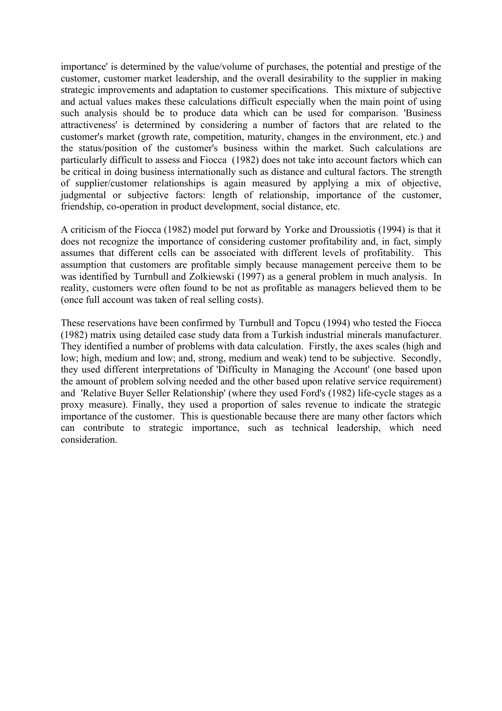importance' is determined by the value/volume of purchases, the potential and prestige of the customer, customer market leadership, and the overall desirability to the supplier in making strategic improvements and adaptation to customer specifications. This mixture of subjective and actual values makes these calculations difficult especially when the main point of using such analysis should be to produce data which can be used for comparison. 'Business attractiveness' is determined by considering a number of factors that are related to the customer's market (growth rate, competition, maturity, changes in the environment, etc.) and the status/position of the customer's business within the market. Such calculations are particularly difficult to assess and Fiocca (1982) does not take into account factors which can be critical in doing business internationally such as distance and cultural factors. The strength of supplier/customer relationships is again measured by applying a mix of objective, judgmental or subjective factors: length of relationship, importance of the customer, friendship, co-operation in product development, social distance, etc.

A criticism of the Fiocca (1982) model put forward by Yorke and Droussiotis (1994) is that it does not recognize the importance of considering customer profitability and, in fact, simply assumes that different cells can be associated with different levels of profitability. This assumption that customers are profitable simply because management perceive them to be was identified by Turnbull and Zolkiewski (1997) as a general problem in much analysis. In reality, customers were often found to be not as profitable as managers believed them to be (once full account was taken of real selling costs).

These reservations have been confirmed by Turnbull and Topcu (1994) who tested the Fiocca (1982) matrix using detailed case study data from a Turkish industrial minerals manufacturer. They identified a number of problems with data calculation. Firstly, the axes scales (high and low; high, medium and low; and, strong, medium and weak) tend to be subjective. Secondly, they used different interpretations of 'Difficulty in Managing the Account' (one based upon the amount of problem solving needed and the other based upon relative service requirement) and 'Relative Buyer Seller Relationship' (where they used Ford's (1982) life-cycle stages as a proxy measure). Finally, they used a proportion of sales revenue to indicate the strategic importance of the customer. This is questionable because there are many other factors which can contribute to strategic importance, such as technical leadership, which need consideration.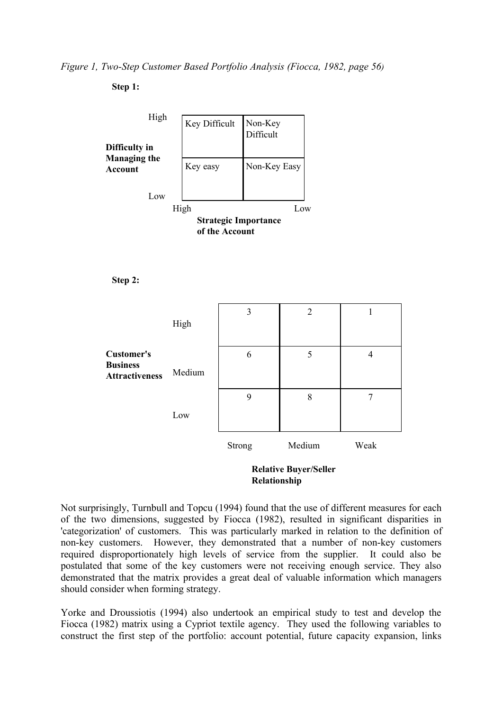*Figure 1, Two-Step Customer Based Portfolio Analysis (Fiocca, 1982, page 56)*

**Step 1:**





|                                                               | High   | 3      | $\overline{2}$ |      |
|---------------------------------------------------------------|--------|--------|----------------|------|
| <b>Customer's</b><br><b>Business</b><br><b>Attractiveness</b> | Medium | 6      | 5              | 4    |
|                                                               | Low    | 9      | 8              | ┑    |
|                                                               |        | Strong | Medium         | Weak |



Not surprisingly, Turnbull and Topcu (1994) found that the use of different measures for each of the two dimensions, suggested by Fiocca (1982), resulted in significant disparities in 'categorization' of customers. This was particularly marked in relation to the definition of non-key customers. However, they demonstrated that a number of non-key customers required disproportionately high levels of service from the supplier. It could also be postulated that some of the key customers were not receiving enough service. They also demonstrated that the matrix provides a great deal of valuable information which managers should consider when forming strategy.

Yorke and Droussiotis (1994) also undertook an empirical study to test and develop the Fiocca (1982) matrix using a Cypriot textile agency. They used the following variables to construct the first step of the portfolio: account potential, future capacity expansion, links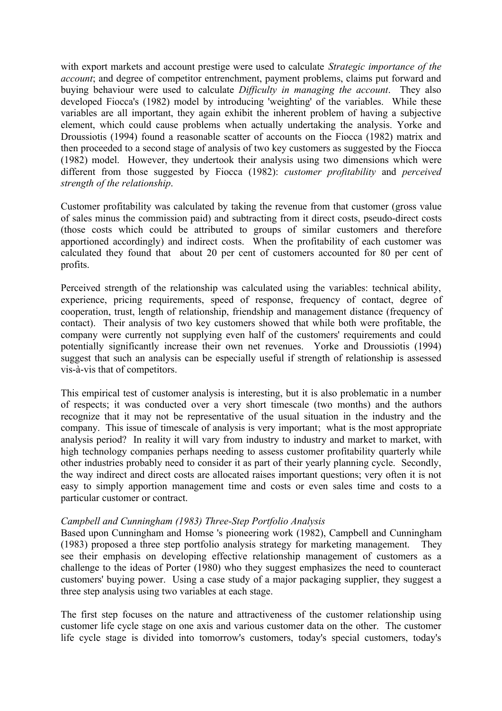with export markets and account prestige were used to calculate *Strategic importance of the account*; and degree of competitor entrenchment, payment problems, claims put forward and buying behaviour were used to calculate *Difficulty in managing the account*. They also developed Fiocca's (1982) model by introducing 'weighting' of the variables. While these variables are all important, they again exhibit the inherent problem of having a subjective element, which could cause problems when actually undertaking the analysis. Yorke and Droussiotis (1994) found a reasonable scatter of accounts on the Fiocca (1982) matrix and then proceeded to a second stage of analysis of two key customers as suggested by the Fiocca (1982) model. However, they undertook their analysis using two dimensions which were different from those suggested by Fiocca (1982): *customer profitability* and *perceived strength of the relationship*.

Customer profitability was calculated by taking the revenue from that customer (gross value of sales minus the commission paid) and subtracting from it direct costs, pseudo-direct costs (those costs which could be attributed to groups of similar customers and therefore apportioned accordingly) and indirect costs. When the profitability of each customer was calculated they found that about 20 per cent of customers accounted for 80 per cent of profits.

Perceived strength of the relationship was calculated using the variables: technical ability, experience, pricing requirements, speed of response, frequency of contact, degree of cooperation, trust, length of relationship, friendship and management distance (frequency of contact). Their analysis of two key customers showed that while both were profitable, the company were currently not supplying even half of the customers' requirements and could potentially significantly increase their own net revenues. Yorke and Droussiotis (1994) suggest that such an analysis can be especially useful if strength of relationship is assessed vis-à-vis that of competitors.

This empirical test of customer analysis is interesting, but it is also problematic in a number of respects; it was conducted over a very short timescale (two months) and the authors recognize that it may not be representative of the usual situation in the industry and the company. This issue of timescale of analysis is very important; what is the most appropriate analysis period? In reality it will vary from industry to industry and market to market, with high technology companies perhaps needing to assess customer profitability quarterly while other industries probably need to consider it as part of their yearly planning cycle. Secondly, the way indirect and direct costs are allocated raises important questions; very often it is not easy to simply apportion management time and costs or even sales time and costs to a particular customer or contract.

#### *Campbell and Cunningham (1983) Three-Step Portfolio Analysis*

Based upon Cunningham and Homse 's pioneering work (1982), Campbell and Cunningham (1983) proposed a three step portfolio analysis strategy for marketing management. They see their emphasis on developing effective relationship management of customers as a challenge to the ideas of Porter (1980) who they suggest emphasizes the need to counteract customers' buying power. Using a case study of a major packaging supplier, they suggest a three step analysis using two variables at each stage.

The first step focuses on the nature and attractiveness of the customer relationship using customer life cycle stage on one axis and various customer data on the other. The customer life cycle stage is divided into tomorrow's customers, today's special customers, today's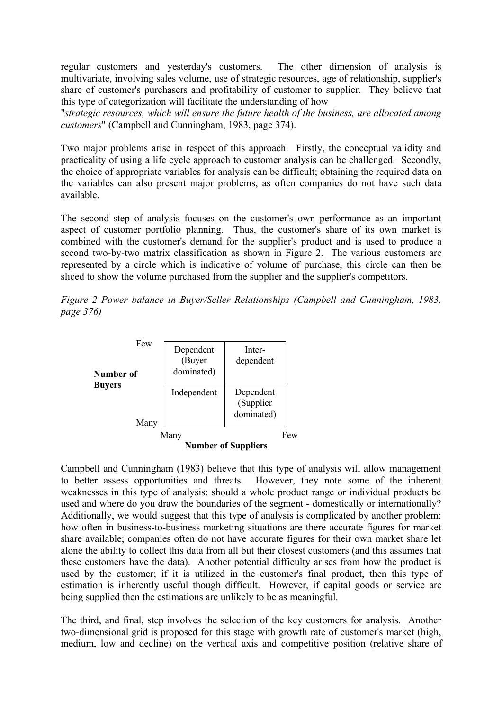regular customers and yesterday's customers. The other dimension of analysis is multivariate, involving sales volume, use of strategic resources, age of relationship, supplier's share of customer's purchasers and profitability of customer to supplier. They believe that this type of categorization will facilitate the understanding of how

"*strategic resources, which will ensure the future health of the business, are allocated among customers*" (Campbell and Cunningham, 1983, page 374).

Two major problems arise in respect of this approach. Firstly, the conceptual validity and practicality of using a life cycle approach to customer analysis can be challenged. Secondly, the choice of appropriate variables for analysis can be difficult; obtaining the required data on the variables can also present major problems, as often companies do not have such data available.

The second step of analysis focuses on the customer's own performance as an important aspect of customer portfolio planning. Thus, the customer's share of its own market is combined with the customer's demand for the supplier's product and is used to produce a second two-by-two matrix classification as shown in Figure 2. The various customers are represented by a circle which is indicative of volume of purchase, this circle can then be sliced to show the volume purchased from the supplier and the supplier's competitors.

*Figure 2 Power balance in Buyer/Seller Relationships (Campbell and Cunningham, 1983, page 376)*



Campbell and Cunningham (1983) believe that this type of analysis will allow management to better assess opportunities and threats. However, they note some of the inherent weaknesses in this type of analysis: should a whole product range or individual products be used and where do you draw the boundaries of the segment - domestically or internationally? Additionally, we would suggest that this type of analysis is complicated by another problem: how often in business-to-business marketing situations are there accurate figures for market share available; companies often do not have accurate figures for their own market share let alone the ability to collect this data from all but their closest customers (and this assumes that these customers have the data). Another potential difficulty arises from how the product is used by the customer; if it is utilized in the customer's final product, then this type of estimation is inherently useful though difficult. However, if capital goods or service are being supplied then the estimations are unlikely to be as meaningful.

The third, and final, step involves the selection of the key customers for analysis. Another two-dimensional grid is proposed for this stage with growth rate of customer's market (high, medium, low and decline) on the vertical axis and competitive position (relative share of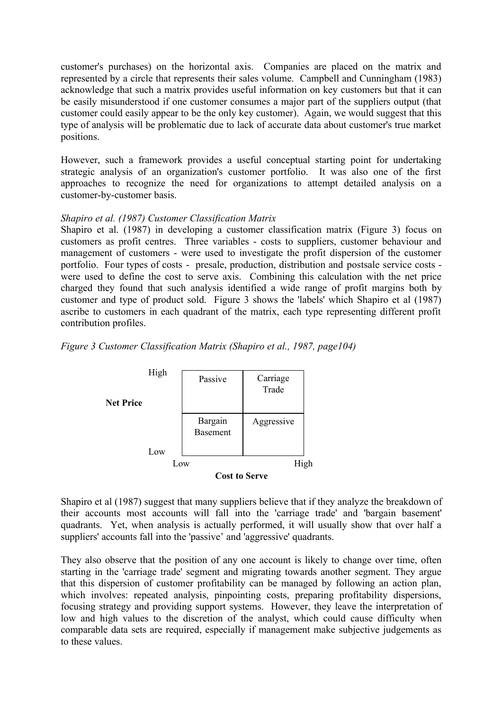customer's purchases) on the horizontal axis. Companies are placed on the matrix and represented by a circle that represents their sales volume. Campbell and Cunningham (1983) acknowledge that such a matrix provides useful information on key customers but that it can be easily misunderstood if one customer consumes a major part of the suppliers output (that customer could easily appear to be the only key customer). Again, we would suggest that this type of analysis will be problematic due to lack of accurate data about customer's true market positions.

However, such a framework provides a useful conceptual starting point for undertaking strategic analysis of an organization's customer portfolio. It was also one of the first approaches to recognize the need for organizations to attempt detailed analysis on a customer-by-customer basis.

#### *Shapiro et al. (1987) Customer Classification Matrix*

Shapiro et al. (1987) in developing a customer classification matrix (Figure 3) focus on customers as profit centres. Three variables - costs to suppliers, customer behaviour and management of customers - were used to investigate the profit dispersion of the customer portfolio. Four types of costs - presale, production, distribution and postsale service costs were used to define the cost to serve axis. Combining this calculation with the net price charged they found that such analysis identified a wide range of profit margins both by customer and type of product sold. Figure 3 shows the 'labels' which Shapiro et al (1987) ascribe to customers in each quadrant of the matrix, each type representing different profit contribution profiles.

*Figure 3 Customer Classification Matrix (Shapiro et al., 1987, page104)*



Shapiro et al (1987) suggest that many suppliers believe that if they analyze the breakdown of their accounts most accounts will fall into the 'carriage trade' and 'bargain basement' quadrants. Yet, when analysis is actually performed, it will usually show that over half a suppliers' accounts fall into the 'passive' and 'aggressive' quadrants.

They also observe that the position of any one account is likely to change over time, often starting in the 'carriage trade' segment and migrating towards another segment. They argue that this dispersion of customer profitability can be managed by following an action plan, which involves: repeated analysis, pinpointing costs, preparing profitability dispersions, focusing strategy and providing support systems. However, they leave the interpretation of low and high values to the discretion of the analyst, which could cause difficulty when comparable data sets are required, especially if management make subjective judgements as to these values.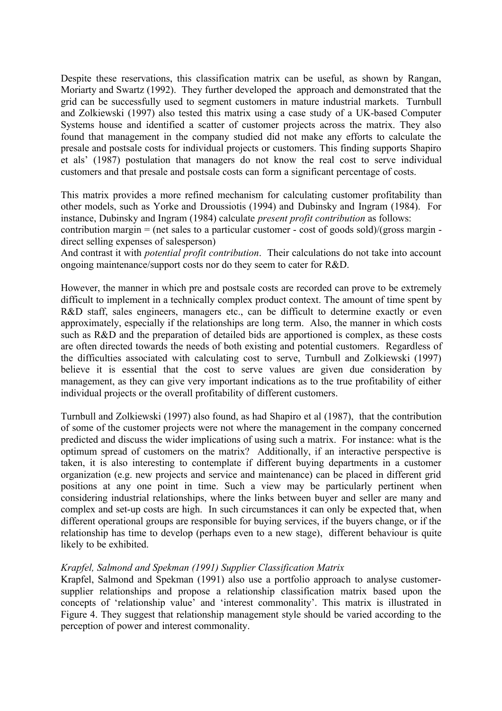Despite these reservations, this classification matrix can be useful, as shown by Rangan, Moriarty and Swartz (1992). They further developed the approach and demonstrated that the grid can be successfully used to segment customers in mature industrial markets. Turnbull and Zolkiewski (1997) also tested this matrix using a case study of a UK-based Computer Systems house and identified a scatter of customer projects across the matrix. They also found that management in the company studied did not make any efforts to calculate the presale and postsale costs for individual projects or customers. This finding supports Shapiro et als' (1987) postulation that managers do not know the real cost to serve individual customers and that presale and postsale costs can form a significant percentage of costs.

This matrix provides a more refined mechanism for calculating customer profitability than other models, such as Yorke and Droussiotis (1994) and Dubinsky and Ingram (1984). For instance, Dubinsky and Ingram (1984) calculate *present profit contribution* as follows:

contribution margin = (net sales to a particular customer - cost of goods sold)/(gross margin direct selling expenses of salesperson)

And contrast it with *potential profit contribution*. Their calculations do not take into account ongoing maintenance/support costs nor do they seem to cater for R&D.

However, the manner in which pre and postsale costs are recorded can prove to be extremely difficult to implement in a technically complex product context. The amount of time spent by R&D staff, sales engineers, managers etc., can be difficult to determine exactly or even approximately, especially if the relationships are long term. Also, the manner in which costs such as R&D and the preparation of detailed bids are apportioned is complex, as these costs are often directed towards the needs of both existing and potential customers. Regardless of the difficulties associated with calculating cost to serve, Turnbull and Zolkiewski (1997) believe it is essential that the cost to serve values are given due consideration by management, as they can give very important indications as to the true profitability of either individual projects or the overall profitability of different customers.

Turnbull and Zolkiewski (1997) also found, as had Shapiro et al (1987), that the contribution of some of the customer projects were not where the management in the company concerned predicted and discuss the wider implications of using such a matrix. For instance: what is the optimum spread of customers on the matrix? Additionally, if an interactive perspective is taken, it is also interesting to contemplate if different buying departments in a customer organization (e.g. new projects and service and maintenance) can be placed in different grid positions at any one point in time. Such a view may be particularly pertinent when considering industrial relationships, where the links between buyer and seller are many and complex and set-up costs are high. In such circumstances it can only be expected that, when different operational groups are responsible for buying services, if the buyers change, or if the relationship has time to develop (perhaps even to a new stage), different behaviour is quite likely to be exhibited.

#### *Krapfel, Salmond and Spekman (1991) Supplier Classification Matrix*

Krapfel, Salmond and Spekman (1991) also use a portfolio approach to analyse customersupplier relationships and propose a relationship classification matrix based upon the concepts of 'relationship value' and 'interest commonality'. This matrix is illustrated in Figure 4. They suggest that relationship management style should be varied according to the perception of power and interest commonality.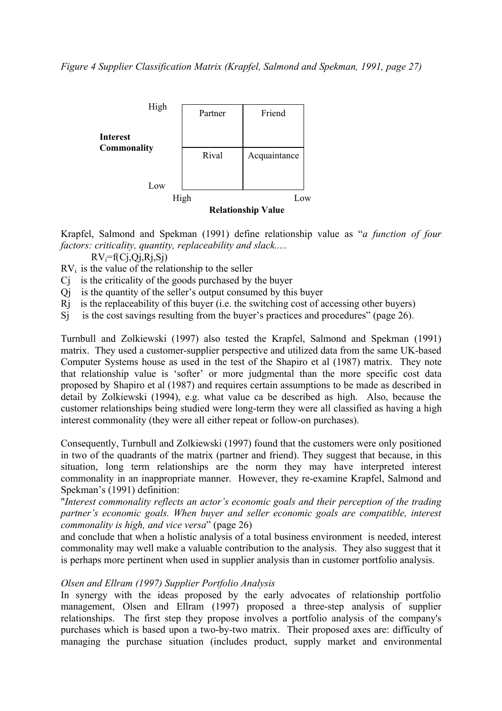

Krapfel, Salmond and Spekman (1991) define relationship value as "*a function of four factors: criticality, quantity, replaceability and slack.....*

 $RV_i = f(C_i, Qi, Ri, Si)$ 

 $RV<sub>i</sub>$  is the value of the relationship to the seller

- Cj is the criticality of the goods purchased by the buyer
- Qj is the quantity of the seller's output consumed by this buyer
- Rj is the replaceability of this buyer (i.e. the switching cost of accessing other buyers)
- Si is the cost savings resulting from the buyer's practices and procedures" (page 26).

Turnbull and Zolkiewski (1997) also tested the Krapfel, Salmond and Spekman (1991) matrix. They used a customer-supplier perspective and utilized data from the same UK-based Computer Systems house as used in the test of the Shapiro et al (1987) matrix. They note that relationship value is 'softer' or more judgmental than the more specific cost data proposed by Shapiro et al (1987) and requires certain assumptions to be made as described in detail by Zolkiewski (1994), e.g. what value ca be described as high. Also, because the customer relationships being studied were long-term they were all classified as having a high interest commonality (they were all either repeat or follow-on purchases).

Consequently, Turnbull and Zolkiewski (1997) found that the customers were only positioned in two of the quadrants of the matrix (partner and friend). They suggest that because, in this situation, long term relationships are the norm they may have interpreted interest commonality in an inappropriate manner. However, they re-examine Krapfel, Salmond and Spekman's (1991) definition:

"*Interest commonality reflects an actor's economic goals and their perception of the trading partner's economic goals. When buyer and seller economic goals are compatible, interest commonality is high, and vice versa*" (page 26)

and conclude that when a holistic analysis of a total business environment is needed, interest commonality may well make a valuable contribution to the analysis. They also suggest that it is perhaps more pertinent when used in supplier analysis than in customer portfolio analysis.

#### *Olsen and Ellram (1997) Supplier Portfolio Analysis*

In synergy with the ideas proposed by the early advocates of relationship portfolio management, Olsen and Ellram (1997) proposed a three-step analysis of supplier relationships. The first step they propose involves a portfolio analysis of the company's purchases which is based upon a two-by-two matrix. Their proposed axes are: difficulty of managing the purchase situation (includes product, supply market and environmental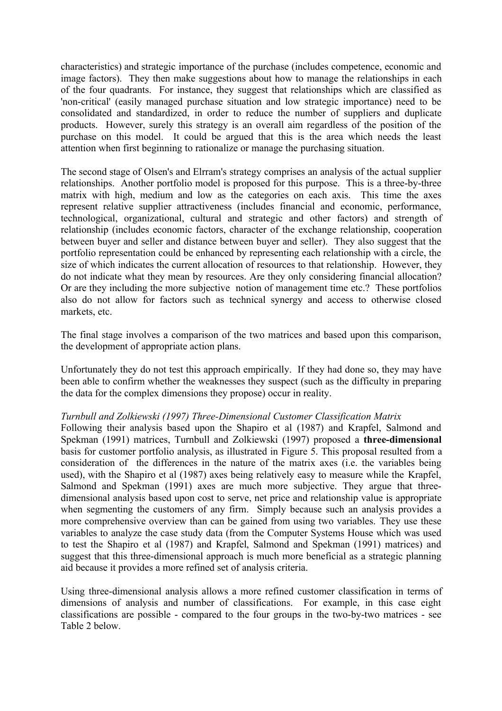characteristics) and strategic importance of the purchase (includes competence, economic and image factors). They then make suggestions about how to manage the relationships in each of the four quadrants. For instance, they suggest that relationships which are classified as 'non-critical' (easily managed purchase situation and low strategic importance) need to be consolidated and standardized, in order to reduce the number of suppliers and duplicate products. However, surely this strategy is an overall aim regardless of the position of the purchase on this model. It could be argued that this is the area which needs the least attention when first beginning to rationalize or manage the purchasing situation.

The second stage of Olsen's and Elrram's strategy comprises an analysis of the actual supplier relationships. Another portfolio model is proposed for this purpose. This is a three-by-three matrix with high, medium and low as the categories on each axis. This time the axes represent relative supplier attractiveness (includes financial and economic, performance, technological, organizational, cultural and strategic and other factors) and strength of relationship (includes economic factors, character of the exchange relationship, cooperation between buyer and seller and distance between buyer and seller). They also suggest that the portfolio representation could be enhanced by representing each relationship with a circle, the size of which indicates the current allocation of resources to that relationship. However, they do not indicate what they mean by resources. Are they only considering financial allocation? Or are they including the more subjective notion of management time etc.? These portfolios also do not allow for factors such as technical synergy and access to otherwise closed markets, etc.

The final stage involves a comparison of the two matrices and based upon this comparison, the development of appropriate action plans.

Unfortunately they do not test this approach empirically. If they had done so, they may have been able to confirm whether the weaknesses they suspect (such as the difficulty in preparing the data for the complex dimensions they propose) occur in reality.

#### *Turnbull and Zolkiewski (1997) Three-Dimensional Customer Classification Matrix*

Following their analysis based upon the Shapiro et al (1987) and Krapfel, Salmond and Spekman (1991) matrices, Turnbull and Zolkiewski (1997) proposed a **three-dimensional** basis for customer portfolio analysis, as illustrated in Figure 5. This proposal resulted from a consideration of the differences in the nature of the matrix axes (i.e. the variables being used), with the Shapiro et al (1987) axes being relatively easy to measure while the Krapfel, Salmond and Spekman (1991) axes are much more subjective. They argue that threedimensional analysis based upon cost to serve, net price and relationship value is appropriate when segmenting the customers of any firm. Simply because such an analysis provides a more comprehensive overview than can be gained from using two variables. They use these variables to analyze the case study data (from the Computer Systems House which was used to test the Shapiro et al (1987) and Krapfel, Salmond and Spekman (1991) matrices) and suggest that this three-dimensional approach is much more beneficial as a strategic planning aid because it provides a more refined set of analysis criteria.

Using three-dimensional analysis allows a more refined customer classification in terms of dimensions of analysis and number of classifications. For example, in this case eight classifications are possible - compared to the four groups in the two-by-two matrices - see Table 2 below.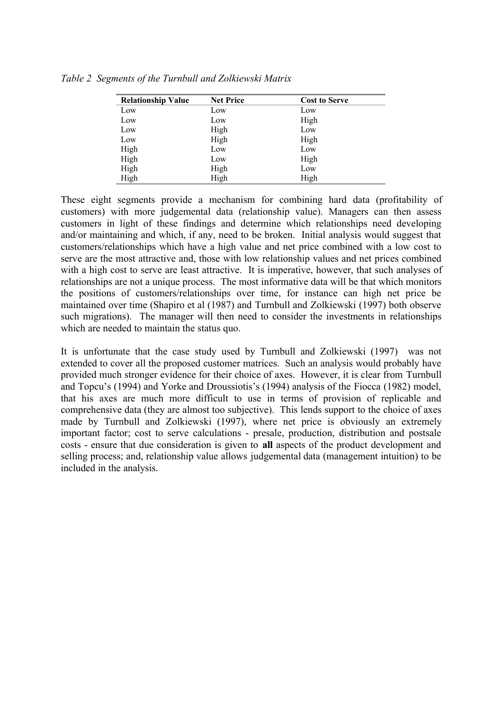| <b>Relationship Value</b> | <b>Net Price</b> | <b>Cost to Serve</b> |
|---------------------------|------------------|----------------------|
| Low                       | Low              | Low                  |
| Low                       | Low              | High                 |
| Low                       | High             | Low                  |
| Low                       | High             | High                 |
| High                      | Low              | Low                  |
| High                      | Low              | High                 |
| High                      | High             | Low                  |
| High                      | High             | High                 |

*Table 2 Segments of the Turnbull and Zolkiewski Matrix*

These eight segments provide a mechanism for combining hard data (profitability of customers) with more judgemental data (relationship value). Managers can then assess customers in light of these findings and determine which relationships need developing and/or maintaining and which, if any, need to be broken. Initial analysis would suggest that customers/relationships which have a high value and net price combined with a low cost to serve are the most attractive and, those with low relationship values and net prices combined with a high cost to serve are least attractive. It is imperative, however, that such analyses of relationships are not a unique process. The most informative data will be that which monitors the positions of customers/relationships over time, for instance can high net price be maintained over time (Shapiro et al (1987) and Turnbull and Zolkiewski (1997) both observe such migrations). The manager will then need to consider the investments in relationships which are needed to maintain the status quo.

It is unfortunate that the case study used by Turnbull and Zolkiewski (1997) was not extended to cover all the proposed customer matrices. Such an analysis would probably have provided much stronger evidence for their choice of axes. However, it is clear from Turnbull and Topcu's (1994) and Yorke and Droussiotis's (1994) analysis of the Fiocca (1982) model, that his axes are much more difficult to use in terms of provision of replicable and comprehensive data (they are almost too subjective). This lends support to the choice of axes made by Turnbull and Zolkiewski (1997), where net price is obviously an extremely important factor; cost to serve calculations - presale, production, distribution and postsale costs - ensure that due consideration is given to **all** aspects of the product development and selling process; and, relationship value allows judgemental data (management intuition) to be included in the analysis.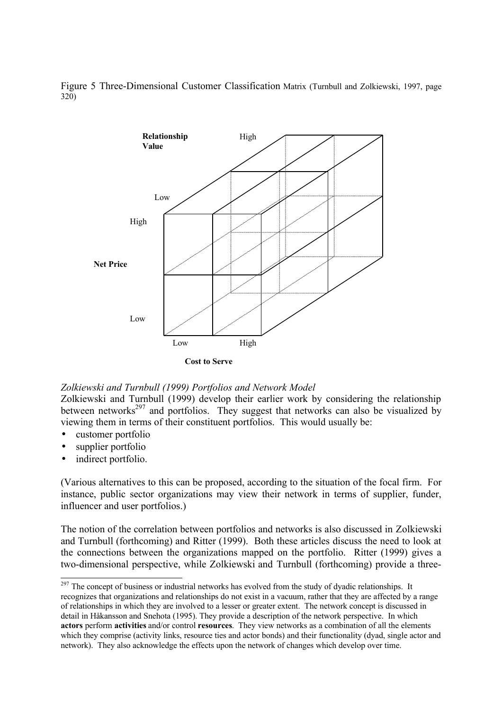



*Zolkiewski and Turnbull (1999) Portfolios and Network Model*

Zolkiewski and Turnbull (1999) develop their earlier work by considering the relationship between networks<sup>297</sup> and portfolios. They suggest that networks can also be visualized by viewing them in terms of their constituent portfolios. This would usually be:

- customer portfolio
- supplier portfolio
- indirect portfolio.

 $\overline{a}$ 

(Various alternatives to this can be proposed, according to the situation of the focal firm. For instance, public sector organizations may view their network in terms of supplier, funder, influencer and user portfolios.)

The notion of the correlation between portfolios and networks is also discussed in Zolkiewski and Turnbull (forthcoming) and Ritter (1999). Both these articles discuss the need to look at the connections between the organizations mapped on the portfolio. Ritter (1999) gives a two-dimensional perspective, while Zolkiewski and Turnbull (forthcoming) provide a three-

 $^{297}$  The concept of business or industrial networks has evolved from the study of dyadic relationships. It recognizes that organizations and relationships do not exist in a vacuum, rather that they are affected by a range of relationships in which they are involved to a lesser or greater extent. The network concept is discussed in detail in Håkansson and Snehota (1995). They provide a description of the network perspective. In which **actors** perform **activities** and/or control **resources**. They view networks as a combination of all the elements which they comprise (activity links, resource ties and actor bonds) and their functionality (dyad, single actor and network). They also acknowledge the effects upon the network of changes which develop over time.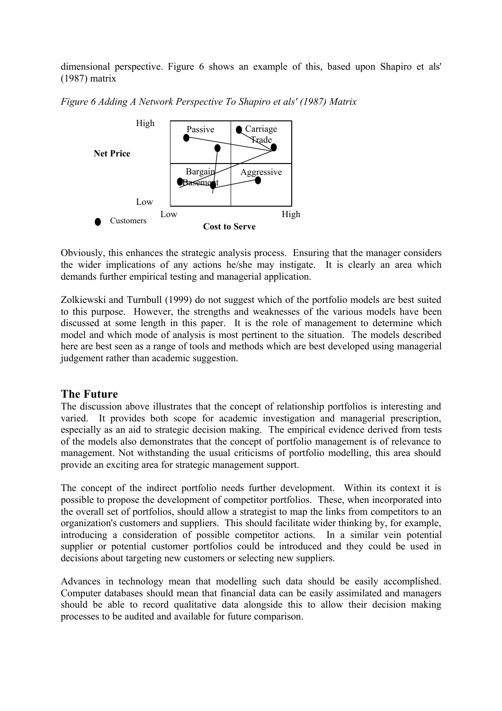dimensional perspective. Figure 6 shows an example of this, based upon Shapiro et als' (1987) matrix





Obviously, this enhances the strategic analysis process. Ensuring that the manager considers the wider implications of any actions he/she may instigate. It is clearly an area which demands further empirical testing and managerial application.

Zolkiewski and Turnbull (1999) do not suggest which of the portfolio models are best suited to this purpose. However, the strengths and weaknesses of the various models have been discussed at some length in this paper. It is the role of management to determine which model and which mode of analysis is most pertinent to the situation. The models described here are best seen as a range of tools and methods which are best developed using managerial judgement rather than academic suggestion.

# **The Future**

The discussion above illustrates that the concept of relationship portfolios is interesting and varied. It provides both scope for academic investigation and managerial prescription, especially as an aid to strategic decision making. The empirical evidence derived from tests of the models also demonstrates that the concept of portfolio management is of relevance to management. Not withstanding the usual criticisms of portfolio modelling, this area should provide an exciting area for strategic management support.

The concept of the indirect portfolio needs further development. Within its context it is possible to propose the development of competitor portfolios. These, when incorporated into the overall set of portfolios, should allow a strategist to map the links from competitors to an organization's customers and suppliers. This should facilitate wider thinking by, for example, introducing a consideration of possible competitor actions. In a similar vein potential supplier or potential customer portfolios could be introduced and they could be used in decisions about targeting new customers or selecting new suppliers.

Advances in technology mean that modelling such data should be easily accomplished. Computer databases should mean that financial data can be easily assimilated and managers should be able to record qualitative data alongside this to allow their decision making processes to be audited and available for future comparison.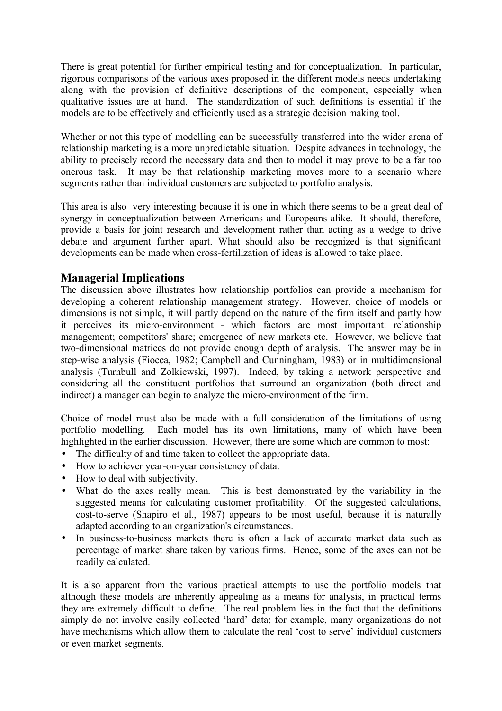There is great potential for further empirical testing and for conceptualization. In particular, rigorous comparisons of the various axes proposed in the different models needs undertaking along with the provision of definitive descriptions of the component, especially when qualitative issues are at hand. The standardization of such definitions is essential if the models are to be effectively and efficiently used as a strategic decision making tool.

Whether or not this type of modelling can be successfully transferred into the wider arena of relationship marketing is a more unpredictable situation. Despite advances in technology, the ability to precisely record the necessary data and then to model it may prove to be a far too onerous task. It may be that relationship marketing moves more to a scenario where segments rather than individual customers are subjected to portfolio analysis.

This area is also very interesting because it is one in which there seems to be a great deal of synergy in conceptualization between Americans and Europeans alike. It should, therefore, provide a basis for joint research and development rather than acting as a wedge to drive debate and argument further apart. What should also be recognized is that significant developments can be made when cross-fertilization of ideas is allowed to take place.

# **Managerial Implications**

The discussion above illustrates how relationship portfolios can provide a mechanism for developing a coherent relationship management strategy. However, choice of models or dimensions is not simple, it will partly depend on the nature of the firm itself and partly how it perceives its micro-environment - which factors are most important: relationship management; competitors' share; emergence of new markets etc. However, we believe that two-dimensional matrices do not provide enough depth of analysis. The answer may be in step-wise analysis (Fiocca, 1982; Campbell and Cunningham, 1983) or in multidimensional analysis (Turnbull and Zolkiewski, 1997). Indeed, by taking a network perspective and considering all the constituent portfolios that surround an organization (both direct and indirect) a manager can begin to analyze the micro-environment of the firm.

Choice of model must also be made with a full consideration of the limitations of using portfolio modelling. Each model has its own limitations, many of which have been highlighted in the earlier discussion. However, there are some which are common to most:

- The difficulty of and time taken to collect the appropriate data.
- How to achiever year-on-year consistency of data.
- How to deal with subjectivity.
- What do the axes really mean. This is best demonstrated by the variability in the suggested means for calculating customer profitability. Of the suggested calculations, cost-to-serve (Shapiro et al., 1987) appears to be most useful, because it is naturally adapted according to an organization's circumstances.
- In business-to-business markets there is often a lack of accurate market data such as percentage of market share taken by various firms. Hence, some of the axes can not be readily calculated.

It is also apparent from the various practical attempts to use the portfolio models that although these models are inherently appealing as a means for analysis, in practical terms they are extremely difficult to define. The real problem lies in the fact that the definitions simply do not involve easily collected 'hard' data; for example, many organizations do not have mechanisms which allow them to calculate the real 'cost to serve' individual customers or even market segments.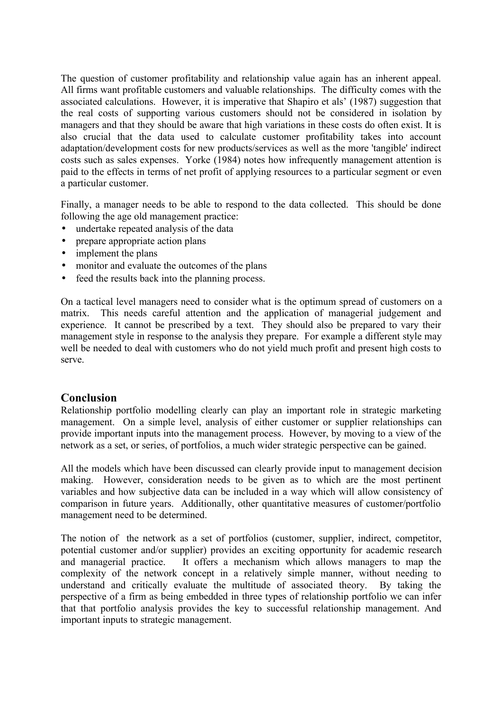The question of customer profitability and relationship value again has an inherent appeal. All firms want profitable customers and valuable relationships. The difficulty comes with the associated calculations. However, it is imperative that Shapiro et als' (1987) suggestion that the real costs of supporting various customers should not be considered in isolation by managers and that they should be aware that high variations in these costs do often exist. It is also crucial that the data used to calculate customer profitability takes into account adaptation/development costs for new products/services as well as the more 'tangible' indirect costs such as sales expenses. Yorke (1984) notes how infrequently management attention is paid to the effects in terms of net profit of applying resources to a particular segment or even a particular customer.

Finally, a manager needs to be able to respond to the data collected. This should be done following the age old management practice:

- undertake repeated analysis of the data
- prepare appropriate action plans
- implement the plans
- monitor and evaluate the outcomes of the plans
- feed the results back into the planning process.

On a tactical level managers need to consider what is the optimum spread of customers on a matrix. This needs careful attention and the application of managerial judgement and experience. It cannot be prescribed by a text. They should also be prepared to vary their management style in response to the analysis they prepare. For example a different style may well be needed to deal with customers who do not yield much profit and present high costs to serve.

# **Conclusion**

Relationship portfolio modelling clearly can play an important role in strategic marketing management. On a simple level, analysis of either customer or supplier relationships can provide important inputs into the management process. However, by moving to a view of the network as a set, or series, of portfolios, a much wider strategic perspective can be gained.

All the models which have been discussed can clearly provide input to management decision making. However, consideration needs to be given as to which are the most pertinent variables and how subjective data can be included in a way which will allow consistency of comparison in future years. Additionally, other quantitative measures of customer/portfolio management need to be determined.

The notion of the network as a set of portfolios (customer, supplier, indirect, competitor, potential customer and/or supplier) provides an exciting opportunity for academic research and managerial practice. It offers a mechanism which allows managers to map the complexity of the network concept in a relatively simple manner, without needing to understand and critically evaluate the multitude of associated theory. By taking the perspective of a firm as being embedded in three types of relationship portfolio we can infer that that portfolio analysis provides the key to successful relationship management. And important inputs to strategic management.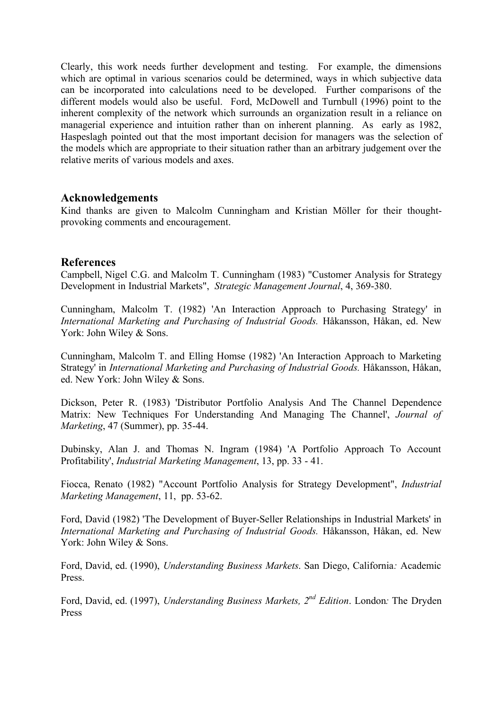Clearly, this work needs further development and testing. For example, the dimensions which are optimal in various scenarios could be determined, ways in which subjective data can be incorporated into calculations need to be developed. Further comparisons of the different models would also be useful. Ford, McDowell and Turnbull (1996) point to the inherent complexity of the network which surrounds an organization result in a reliance on managerial experience and intuition rather than on inherent planning. As early as 1982, Haspeslagh pointed out that the most important decision for managers was the selection of the models which are appropriate to their situation rather than an arbitrary judgement over the relative merits of various models and axes.

# **Acknowledgements**

Kind thanks are given to Malcolm Cunningham and Kristian Möller for their thoughtprovoking comments and encouragement.

# **References**

Campbell, Nigel C.G. and Malcolm T. Cunningham (1983) "Customer Analysis for Strategy Development in Industrial Markets", *Strategic Management Journal*, 4, 369-380.

Cunningham, Malcolm T. (1982) 'An Interaction Approach to Purchasing Strategy' in *International Marketing and Purchasing of Industrial Goods.* Håkansson, Håkan, ed. New York: John Wiley & Sons.

Cunningham, Malcolm T. and Elling Homse (1982) 'An Interaction Approach to Marketing Strategy' in *International Marketing and Purchasing of Industrial Goods.* Håkansson, Håkan, ed. New York: John Wiley & Sons.

Dickson, Peter R. (1983) 'Distributor Portfolio Analysis And The Channel Dependence Matrix: New Techniques For Understanding And Managing The Channel', *Journal of Marketing*, 47 (Summer), pp. 35-44.

Dubinsky, Alan J. and Thomas N. Ingram (1984) 'A Portfolio Approach To Account Profitability', *Industrial Marketing Management*, 13, pp. 33 - 41.

Fiocca, Renato (1982) "Account Portfolio Analysis for Strategy Development", *Industrial Marketing Management*, 11, pp. 53-62.

Ford, David (1982) 'The Development of Buyer-Seller Relationships in Industrial Markets' in *International Marketing and Purchasing of Industrial Goods.* Håkansson, Håkan, ed. New York: John Wiley & Sons.

Ford, David, ed. (1990), *Understanding Business Markets*. San Diego, California*:* Academic Press.

Ford, David, ed. (1997), *Understanding Business Markets, 2 nd Edition*. London*:* The Dryden Press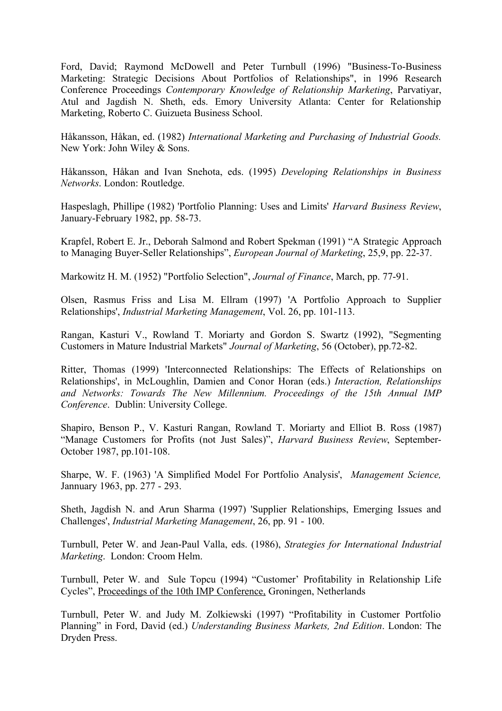Ford, David; Raymond McDowell and Peter Turnbull (1996) "Business-To-Business Marketing: Strategic Decisions About Portfolios of Relationships", in 1996 Research Conference Proceedings *Contemporary Knowledge of Relationship Marketing*, Parvatiyar, Atul and Jagdish N. Sheth, eds. Emory University Atlanta: Center for Relationship Marketing, Roberto C. Guizueta Business School.

Håkansson, Håkan, ed. (1982) *International Marketing and Purchasing of Industrial Goods.* New York: John Wiley & Sons.

Håkansson, Håkan and Ivan Snehota, eds. (1995) *Developing Relationships in Business Networks*. London: Routledge.

Haspeslagh, Phillipe (1982) 'Portfolio Planning: Uses and Limits' *Harvard Business Review*, January-February 1982, pp. 58-73.

Krapfel, Robert E. Jr., Deborah Salmond and Robert Spekman (1991) "A Strategic Approach to Managing Buyer-Seller Relationships", *European Journal of Marketing*, 25,9, pp. 22-37.

Markowitz H. M. (1952) "Portfolio Selection", *Journal of Finance*, March, pp. 77-91.

Olsen, Rasmus Friss and Lisa M. Ellram (1997) 'A Portfolio Approach to Supplier Relationships', *Industrial Marketing Management*, Vol. 26, pp. 101-113.

Rangan, Kasturi V., Rowland T. Moriarty and Gordon S. Swartz (1992), "Segmenting Customers in Mature Industrial Markets" *Journal of Marketing*, 56 (October), pp.72-82.

Ritter, Thomas (1999) 'Interconnected Relationships: The Effects of Relationships on Relationships', in McLoughlin, Damien and Conor Horan (eds.) *Interaction, Relationships and Networks: Towards The New Millennium. Proceedings of the 15th Annual IMP Conference*. Dublin: University College.

Shapiro, Benson P., V. Kasturi Rangan, Rowland T. Moriarty and Elliot B. Ross (1987) "Manage Customers for Profits (not Just Sales)", *Harvard Business Review*, September-October 1987, pp.101-108.

Sharpe, W. F. (1963) 'A Simplified Model For Portfolio Analysis', *Management Science,* Jannuary 1963, pp. 277 - 293.

Sheth, Jagdish N. and Arun Sharma (1997) 'Supplier Relationships, Emerging Issues and Challenges', *Industrial Marketing Management*, 26, pp. 91 - 100.

Turnbull, Peter W. and Jean-Paul Valla, eds. (1986), *Strategies for International Industrial Marketing*. London: Croom Helm.

Turnbull, Peter W. and Sule Topcu (1994) "Customer' Profitability in Relationship Life Cycles", Proceedings of the 10th IMP Conference, Groningen, Netherlands

Turnbull, Peter W. and Judy M. Zolkiewski (1997) "Profitability in Customer Portfolio Planning" in Ford, David (ed.) *Understanding Business Markets, 2nd Edition*. London: The Dryden Press.